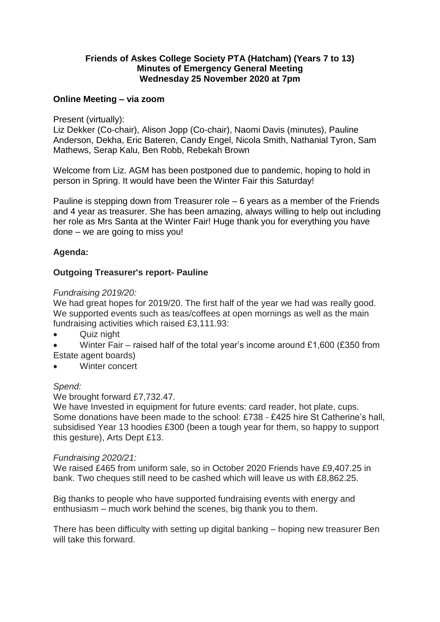## **Friends of Askes College Society PTA (Hatcham) (Years 7 to 13) Minutes of Emergency General Meeting Wednesday 25 November 2020 at 7pm**

## **Online Meeting – via zoom**

Present (virtually):

Liz Dekker (Co-chair), Alison Jopp (Co-chair), Naomi Davis (minutes), Pauline Anderson, Dekha, Eric Bateren, Candy Engel, Nicola Smith, Nathanial Tyron, Sam Mathews, Serap Kalu, Ben Robb, Rebekah Brown

Welcome from Liz. AGM has been postponed due to pandemic, hoping to hold in person in Spring. It would have been the Winter Fair this Saturday!

Pauline is stepping down from Treasurer role – 6 years as a member of the Friends and 4 year as treasurer. She has been amazing, always willing to help out including her role as Mrs Santa at the Winter Fair! Huge thank you for everything you have done – we are going to miss you!

# **Agenda:**

# **Outgoing Treasurer's report- Pauline**

#### *Fundraising 2019/20:*

We had great hopes for 2019/20. The first half of the year we had was really good. We supported events such as teas/coffees at open mornings as well as the main fundraising activities which raised £3,111.93:

- Quiz night
- Winter Fair raised half of the total year's income around  $£1,600$  (£350 from Estate agent boards)
- Winter concert

## *Spend:*

## We brought forward £7,732.47.

We have Invested in equipment for future events: card reader, hot plate, cups. Some donations have been made to the school: £738 - £425 hire St Catherine's hall, subsidised Year 13 hoodies £300 (been a tough year for them, so happy to support this gesture), Arts Dept £13.

#### *Fundraising 2020/21:*

We raised £465 from uniform sale, so in October 2020 Friends have £9,407.25 in bank. Two cheques still need to be cashed which will leave us with £8,862.25.

Big thanks to people who have supported fundraising events with energy and enthusiasm – much work behind the scenes, big thank you to them.

There has been difficulty with setting up digital banking – hoping new treasurer Ben will take this forward.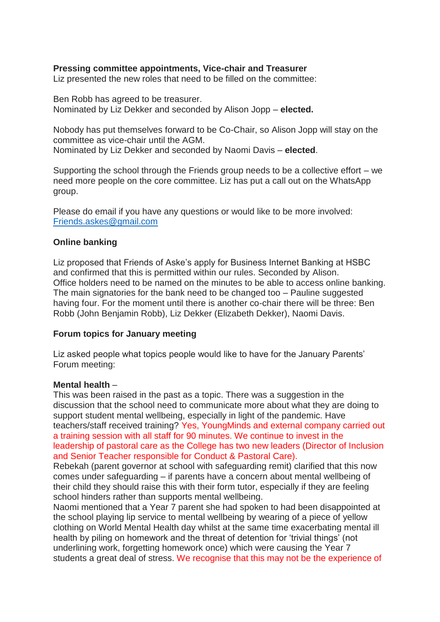## **Pressing committee appointments, Vice-chair and Treasurer**

Liz presented the new roles that need to be filled on the committee:

Ben Robb has agreed to be treasurer. Nominated by Liz Dekker and seconded by Alison Jopp – **elected.**

Nobody has put themselves forward to be Co-Chair, so Alison Jopp will stay on the committee as vice-chair until the AGM. Nominated by Liz Dekker and seconded by Naomi Davis – **elected**.

Supporting the school through the Friends group needs to be a collective effort – we need more people on the core committee. Liz has put a call out on the WhatsApp group.

Please do email if you have any questions or would like to be more involved: [Friends.askes@gmail.com](mailto:Friends.askes@gmail.com)

#### **Online banking**

Liz proposed that Friends of Aske's apply for Business Internet Banking at HSBC and confirmed that this is permitted within our rules. Seconded by Alison. Office holders need to be named on the minutes to be able to access online banking. The main signatories for the bank need to be changed too – Pauline suggested having four. For the moment until there is another co-chair there will be three: Ben Robb (John Benjamin Robb), Liz Dekker (Elizabeth Dekker), Naomi Davis.

## **Forum topics for January meeting**

Liz asked people what topics people would like to have for the January Parents' Forum meeting:

#### **Mental health** –

This was been raised in the past as a topic. There was a suggestion in the discussion that the school need to communicate more about what they are doing to support student mental wellbeing, especially in light of the pandemic. Have teachers/staff received training? Yes, YoungMinds and external company carried out a training session with all staff for 90 minutes. We continue to invest in the leadership of pastoral care as the College has two new leaders (Director of Inclusion and Senior Teacher responsible for Conduct & Pastoral Care).

Rebekah (parent governor at school with safeguarding remit) clarified that this now comes under safeguarding – if parents have a concern about mental wellbeing of their child they should raise this with their form tutor, especially if they are feeling school hinders rather than supports mental wellbeing.

Naomi mentioned that a Year 7 parent she had spoken to had been disappointed at the school playing lip service to mental wellbeing by wearing of a piece of yellow clothing on World Mental Health day whilst at the same time exacerbating mental ill health by piling on homework and the threat of detention for 'trivial things' (not underlining work, forgetting homework once) which were causing the Year 7 students a great deal of stress. We recognise that this may not be the experience of